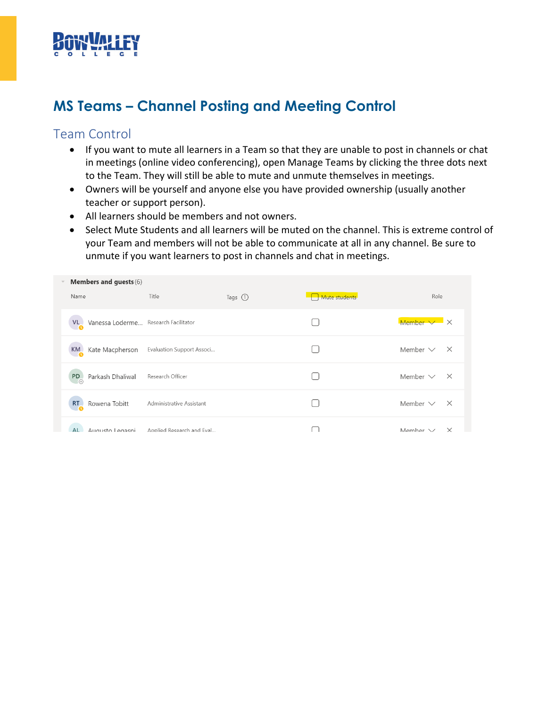

# **MS Teams – Channel Posting and Meeting Control**

### Team Control

- If you want to mute all learners in a Team so that they are unable to post in channels or chat in meetings (online video conferencing), open Manage Teams by clicking the three dots next to the Team. They will still be able to mute and unmute themselves in meetings.
- Owners will be yourself and anyone else you have provided ownership (usually another teacher or support person).
- All learners should be members and not owners.
- Select Mute Students and all learners will be muted on the channel. This is extreme control of your Team and members will not be able to communicate at all in any channel. Be sure to unmute if you want learners to post in channels and chat in meetings.

|  | <b>Members and guests (6)</b>                         |                           |            |               |                          |          |
|--|-------------------------------------------------------|---------------------------|------------|---------------|--------------------------|----------|
|  | Name                                                  | Title                     | Tags $(i)$ | Mute students | Role                     |          |
|  | Vanessa Loderme Research Facilitator<br>$V_{\bullet}$ |                           |            |               | Member $\times$ $\times$ |          |
|  | KM<br>Kate Macpherson                                 | Evaluation Support Associ |            |               | Member $\vee$ $\times$   |          |
|  | Parkash Dhaliwal<br>PD                                | Research Officer          |            |               | Member $\vee$ $\times$   |          |
|  | $RT_{\alpha}$<br>Rowena Tobitt                        | Administrative Assistant  |            |               | Member $\vee$            | $\times$ |
|  | <b>AL</b><br>Augusto Legaspi                          | Annlied Research and Eval |            |               | Member V                 | $\times$ |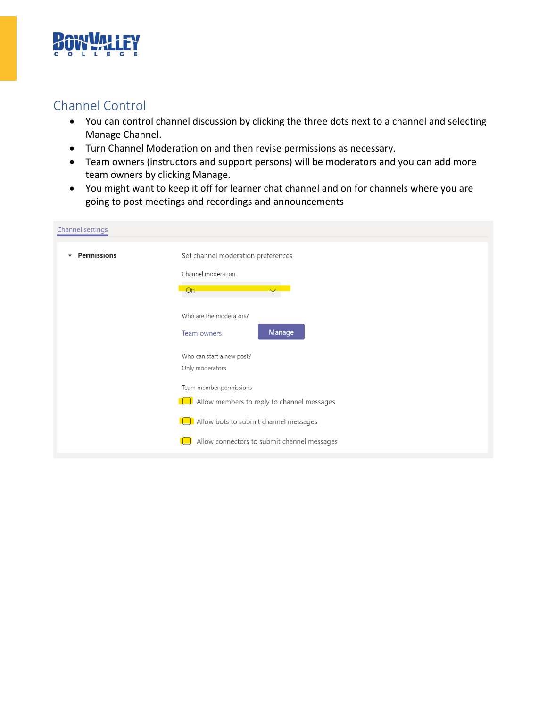

## Channel Control

- You can control channel discussion by clicking the three dots next to a channel and selecting Manage Channel.
- Turn Channel Moderation on and then revise permissions as necessary.
- Team owners (instructors and support persons) will be moderators and you can add more team owners by clicking Manage.
- You might want to keep it off for learner chat channel and on for channels where you are going to post meetings and recordings and announcements

| Channel settings                               |                                             |
|------------------------------------------------|---------------------------------------------|
| <b>Permissions</b><br>$\overline{\phantom{a}}$ | Set channel moderation preferences          |
|                                                | Channel moderation                          |
|                                                | On                                          |
|                                                | Who are the moderators?                     |
|                                                | Manage<br>Team owners                       |
|                                                | Who can start a new post?                   |
|                                                | Only moderators                             |
|                                                | Team member permissions                     |
|                                                | Allow members to reply to channel messages  |
|                                                | Allow bots to submit channel messages       |
|                                                | Allow connectors to submit channel messages |